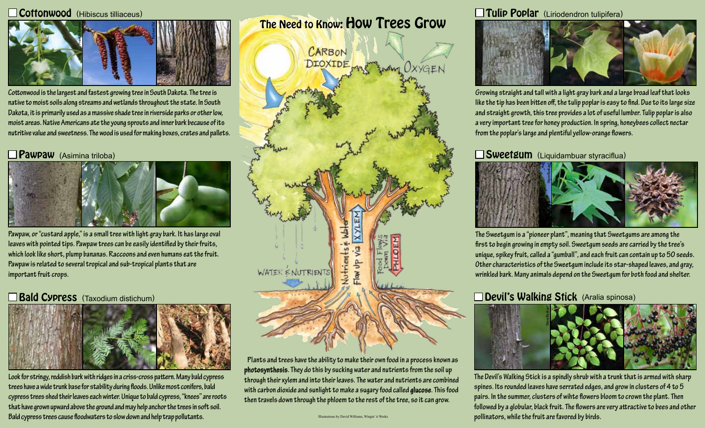#### Coffonwood (Hibiscus tilliaceus)



**Cottonwood is the largest and fastest growing tree in South Dakota. The tree is native to moist soils along streams and wetlands throughout the state. In South Dakota, it is primarily used as a massive shade tree in riverside parks or other low, moist areas. Native Americans ate the young sprouts and inner bark because of its nutritive value and sweetness. The wood is used for making boxes, crates and pallets.**

### Pawpaw (Asimina triloba)



**Pawpaw, or "custard apple," is a small tree with light gray bark. It has large oval leaves with pointed tips. Pawpaw trees can be easily identified by their fruits, which look like short, plump bananas. Raccoons and even humans eat the fruit. Pawpaw is related to several tropical and sub-tropical plants that are important fruit crops.**

## **Bald Cypress** (Taxodium distichum)



**Look for stringy, reddish bark with ridges in a criss-cross pattern. Many bald cypress trees have a wide trunk base for stability during floods. Unlike most conifers, bald cypress trees shed their leaves each winter. Unique to bald cypress, "knees" are roots that have grown upward above the ground and may help anchor the trees in soft soil. Bald cypress trees cause floodwaters to slow down and help trap pollutants.** 

The Need to Know: How Trees Grow



**Plants and trees have the ability to make their own food in a process known as photosynthesis. They do this by sucking water and nutrients from the soil up through their xylem and into their leaves. The water and nutrients are combined with carbon dioxide and sunlight to make a sugary food called glucose. This food then travels down through the phloem to the rest of the tree, so it can grow.**

Tulip Poplar (Liriodendron tulipifera)



**Growing straight and tall with a light gray bark and a large broad leaf that looks like the tip has been bitten off, the tulip poplar is easy to find. Due to its large size and straight growth, this tree provides a lot of useful lumber. Tulip poplar is also a very important tree for honey production. In spring, honeybees collect nectar from the poplar's large and plentiful yellow-orange flowers.** 

#### Sweetgum (Liquidambuar styraciflua)



**The Sweetgum is a "pioneer plant", meaning that Sweetgums are among the first to begin growing in empty soil. Sweetgum seeds are carried by the tree's unique, spikey fruit, called a "gumball", and each fruit can contain up to 50 seeds. Other characteristics of the Sweetgum include its star-shaped leaves, and gray,** 

### Devil's Walking Stick (Aralia spinosa)



**The Devil's Walking Stick is a spindly shrub with a trunk that is armed with sharp spines. Its rounded leaves have serrated edges, and grow in clusters of 4 to 5 pairs. In the summer, clusters of wihte flowers bloom to crown the plant. Then followed by a globular, black fruit. The flowers are very attractive to bees and other**